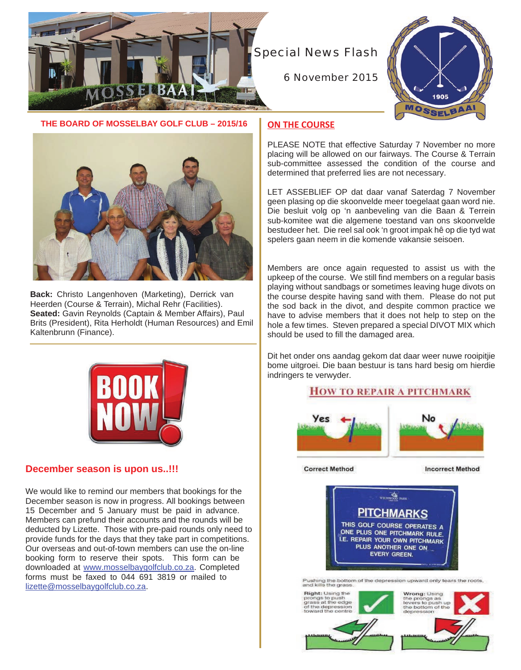

Special News Flash

6 November 2015



**THE BOARD OF MOSSELBAY GOLF CLUB – 2015/16**



**Back:** Christo Langenhoven (Marketing), Derrick van Heerden (Course & Terrain), Michal Rehr (Facilities). **Seated:** Gavin Reynolds (Captain & Member Affairs), Paul Brits (President), Rita Herholdt (Human Resources) and Emil Kaltenbrunn (Finance).



# **December season is upon us..!!!**

We would like to remind our members that bookings for the December season is now in progress. All bookings between 15 December and 5 January must be paid in advance. Members can prefund their accounts and the rounds will be deducted by Lizette. Those with pre-paid rounds only need to provide funds for the days that they take part in competitions. Our overseas and out-of-town members can use the on-line booking form to reserve their spots. This form can be downloaded at www.mosselbaygolfclub.co.za. Completed forms must be faxed to 044 691 3819 or mailed to lizette@mosselbaygolfclub.co.za.

## **ON THE COURSE**

PLEASE NOTE that effective Saturday 7 November no more placing will be allowed on our fairways. The Course & Terrain sub-committee assessed the condition of the course and determined that preferred lies are not necessary.

LET ASSEBLIEF OP dat daar vanaf Saterdag 7 November geen plasing op die skoonvelde meer toegelaat gaan word nie. Die besluit volg op 'n aanbeveling van die Baan & Terrein sub-komitee wat die algemene toestand van ons skoonvelde bestudeer het. Die reel sal ook 'n groot impak hê op die tyd wat spelers gaan neem in die komende vakansie seisoen.

Members are once again requested to assist us with the upkeep of the course. We still find members on a regular basis playing without sandbags or sometimes leaving huge divots on the course despite having sand with them. Please do not put the sod back in the divot, and despite common practice we have to advise members that it does not help to step on the hole a few times. Steven prepared a special DIVOT MIX which should be used to fill the damaged area.

Dit het onder ons aandag gekom dat daar weer nuwe rooipitjie bome uitgroei. Die baan bestuur is tans hard besig om hierdie indringers te verwyder.

## **HOW TO REPAIR A PITCHMARK**



**Correct Method** 

**Incorrect Method** 

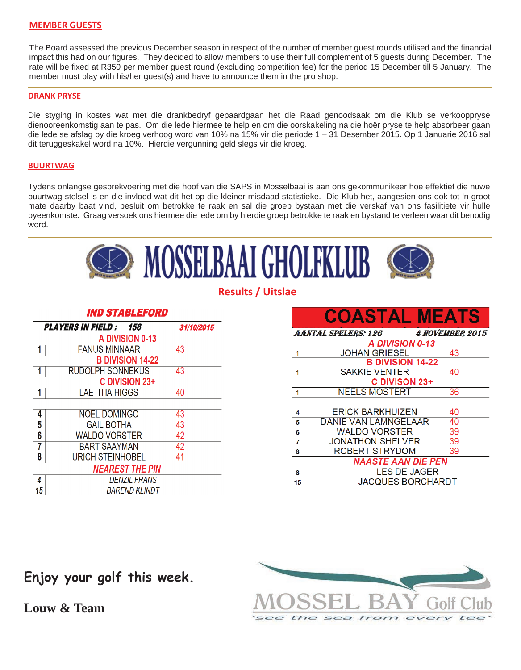## **MEMBER GUESTS**

The Board assessed the previous December season in respect of the number of member guest rounds utilised and the financial impact this had on our figures. They decided to allow members to use their full complement of 5 guests during December. The rate will be fixed at R350 per member guest round (excluding competition fee) for the period 15 December till 5 January. The member must play with his/her guest(s) and have to announce them in the pro shop.

#### **DRANK PRYSE**

Die styging in kostes wat met die drankbedryf gepaardgaan het die Raad genoodsaak om die Klub se verkooppryse dienooreenkomstig aan te pas. Om die lede hiermee te help en om die oorskakeling na die hoër pryse te help absorbeer gaan die lede se afslag by die kroeg verhoog word van 10% na 15% vir die periode 1 – 31 Desember 2015. Op 1 Januarie 2016 sal dit teruggeskakel word na 10%. Hierdie vergunning geld slegs vir die kroeg.

### **BUURTWAG**

Tydens onlangse gesprekvoering met die hoof van die SAPS in Mosselbaai is aan ons gekommunikeer hoe effektief die nuwe buurtwag stelsel is en die invloed wat dit het op die kleiner misdaad statistieke. Die Klub het, aangesien ons ook tot 'n groot mate daarby baat vind, besluit om betrokke te raak en sal die groep bystaan met die verskaf van ons fasilitiete vir hulle byeenkomste. Graag versoek ons hiermee die lede om by hierdie groep betrokke te raak en bystand te verleen waar dit benodig word.



**Results / Uitslae**

| <b>IND STABLEFORD</b>  |                              |            |  |  |
|------------------------|------------------------------|------------|--|--|
|                        | <b>PLAYERS IN FIELD: 156</b> | 31/10/2015 |  |  |
| A DIVISION 0-13        |                              |            |  |  |
| 1                      | <b>FANUS MINNAAR</b>         | 43         |  |  |
|                        | <b>B DIVISION 14-22</b>      |            |  |  |
| 1                      | <b>RUDOLPH SONNEKUS</b>      | 43         |  |  |
| C DIVISION 23+         |                              |            |  |  |
| 1                      | <b>LAETITIA HIGGS</b>        | 40         |  |  |
|                        |                              |            |  |  |
| 4                      | <b>NOEL DOMINGO</b>          | 43         |  |  |
| 5                      | <b>GAIL BOTHA</b>            | 43         |  |  |
| 6                      | <b>WALDO VORSTER</b>         | 42         |  |  |
| 7                      | <b>BART SAAYMAN</b>          | 42         |  |  |
| 8                      | <b>URICH STEINHOBEL</b>      | 41         |  |  |
| <b>NEAREST THE PIN</b> |                              |            |  |  |
| 4                      | DENZIL FRANS                 |            |  |  |
| 15                     | BAREND KLINDT                |            |  |  |

|                         | <b>COASTAL MEATS</b>     |                        |  |  |
|-------------------------|--------------------------|------------------------|--|--|
|                         | AANTAL SPELERS: 126      | <b>4 NOVEMBER 2015</b> |  |  |
|                         | A DIVISION 0-13          |                        |  |  |
| 1                       | <b>JOHAN GRIESEL</b>     | 43                     |  |  |
| <b>B DIVISION 14-22</b> |                          |                        |  |  |
| 1                       | <b>SAKKIE VENTER</b>     | 40                     |  |  |
| C DIVISON 23+           |                          |                        |  |  |
| 1                       | <b>NEELS MOSTERT</b>     | 36                     |  |  |
|                         |                          |                        |  |  |
| 4                       | ERICK BARKHUIZEN         | 40                     |  |  |
| 5                       | DANIE VAN LAMNGELAAR     | 40                     |  |  |
| 6                       | <b>WALDO VORSTER</b>     | 39                     |  |  |
| 7                       | <b>JONATHON SHELVER</b>  | 39                     |  |  |
| 8                       | ROBERT STRYDOM           | 39                     |  |  |
| NAASTE AAN DIE PEN      |                          |                        |  |  |
| 8                       | <b>LES DE JAGER</b>      |                        |  |  |
| 15                      | <b>JACQUES BORCHARDT</b> |                        |  |  |



**Enjoy your golf this week.**

**Louw & Team**